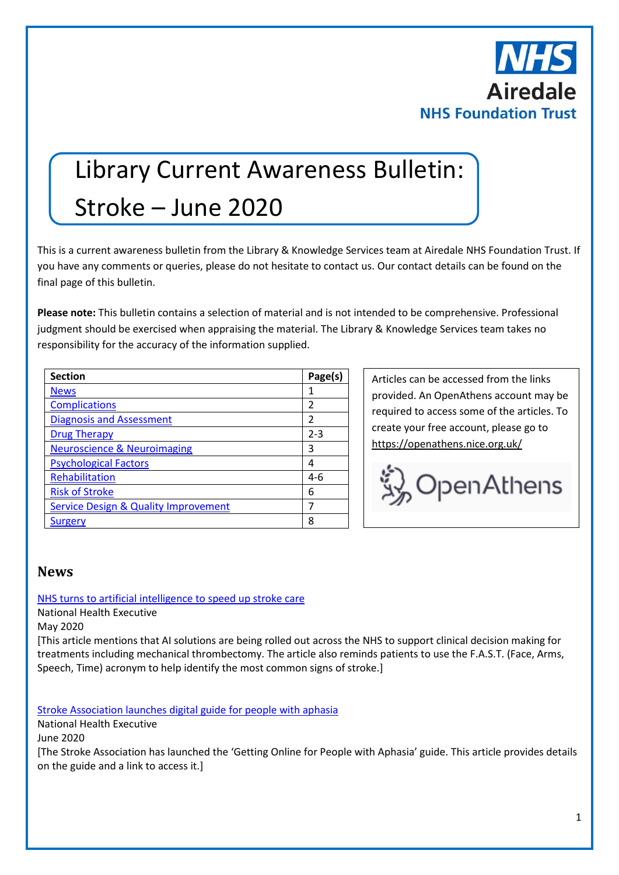

# Library Current Awareness Bulletin:

## Stroke – June 2020

This is a current awareness bulletin from the Library & Knowledge Services team at Airedale NHS Foundation Trust. If you have any comments or queries, please do not hesitate to contact us. Our contact details can be found on the final page of this bulletin.

**Please note:** This bulletin contains a selection of material and is not intended to be comprehensive. Professional judgment should be exercised when appraising the material. The Library & Knowledge Services team takes no responsibility for the accuracy of the information supplied.

| <b>Section</b>                                  | Page(s) |
|-------------------------------------------------|---------|
| <b>News</b>                                     | 1       |
| <b>Complications</b>                            | 2       |
| <b>Diagnosis and Assessment</b>                 | 2       |
| <b>Drug Therapy</b>                             | $2 - 3$ |
| <b>Neuroscience &amp; Neuroimaging</b>          | 3       |
| <b>Psychological Factors</b>                    | 4       |
| Rehabilitation                                  | 4-6     |
| <b>Risk of Stroke</b>                           | 6       |
| <b>Service Design &amp; Quality Improvement</b> | 7       |
| Surgery                                         | 8       |

Articles can be accessed from the links provided. An OpenAthens account may be required to access some of the articles. To create your free account, please go to <https://openathens.nice.org.uk/>



#### <span id="page-0-0"></span>**News**

#### [NHS turns to artificial intelligence to speed up stroke care](http://www.nationalhealthexecutive.com/News/nhs-artificial-intelligence-stroke-care/253791)

National Health Executive

May 2020

[This article mentions that AI solutions are being rolled out across the NHS to support clinical decision making for treatments including mechanical thrombectomy. The article also reminds patients to use the F.A.S.T. (Face, Arms, Speech, Time) acronym to help identify the most common signs of stroke.]

[Stroke Association launches digital guide for people with aphasia](http://www.nationalhealthexecutive.com/News/stroke-association-digital-guide-aphasia/256267)

National Health Executive

June 2020

[The Stroke Association has launched the 'Getting Online for People with Aphasia' guide. This article provides details on the guide and a link to access it.]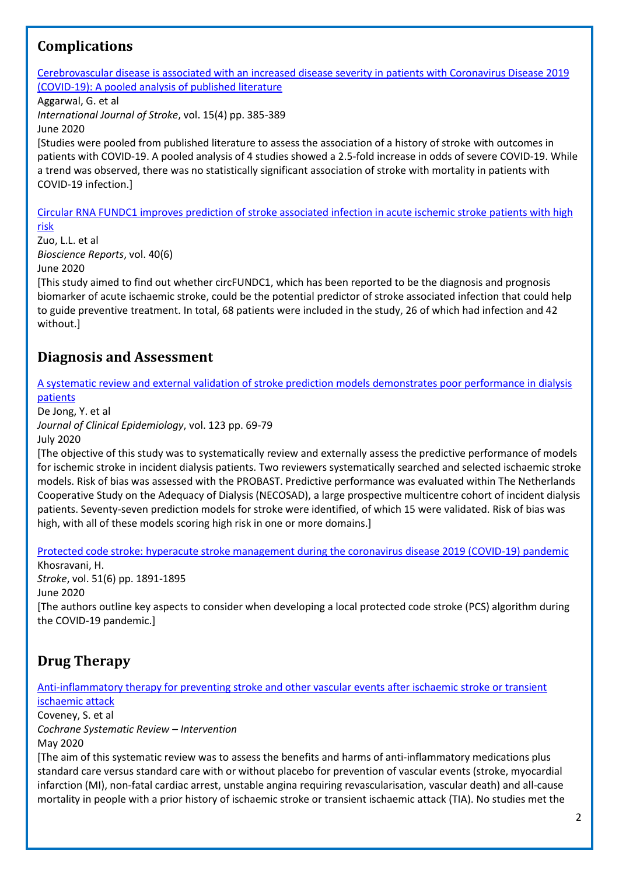## <span id="page-1-0"></span>**Complications**

[Cerebrovascular disease is associated with an increased disease severity in patients with Coronavirus Disease 2019](https://journals.sagepub.com/doi/pdf/10.1177/1747493020921664)  [\(COVID-19\): A pooled analysis of published literature](https://journals.sagepub.com/doi/pdf/10.1177/1747493020921664)

Aggarwal, G. et al

*International Journal of Stroke*, vol. 15(4) pp. 385-389

June 2020

[Studies were pooled from published literature to assess the association of a history of stroke with outcomes in patients with COVID-19. A pooled analysis of 4 studies showed a 2.5-fold increase in odds of severe COVID-19. While a trend was observed, there was no statistically significant association of stroke with mortality in patients with COVID-19 infection.]

[Circular RNA FUNDC1 improves prediction of stroke associated infection in acute ischemic stroke patients with high](http://europepmc.org/article/MED/32537657?singleResult=true)  [risk](http://europepmc.org/article/MED/32537657?singleResult=true)

Zuo, L.L. et al *Bioscience Reports*, vol. 40(6) June 2020

[This study aimed to find out whether circFUNDC1, which has been reported to be the diagnosis and prognosis biomarker of acute ischaemic stroke, could be the potential predictor of stroke associated infection that could help to guide preventive treatment. In total, 68 patients were included in the study, 26 of which had infection and 42 without.]

## <span id="page-1-1"></span>**Diagnosis and Assessment**

[A systematic review and external validation of stroke prediction models demonstrates poor performance in dialysis](https://www.jclinepi.com/article/S0895-4356(20)30072-X/pdf)  [patients](https://www.jclinepi.com/article/S0895-4356(20)30072-X/pdf)

De Jong, Y. et al

*Journal of Clinical Epidemiology*, vol. 123 pp. 69-79

July 2020

[The objective of this study was to systematically review and externally assess the predictive performance of models for ischemic stroke in incident dialysis patients. Two reviewers systematically searched and selected ischaemic stroke models. Risk of bias was assessed with the PROBAST. Predictive performance was evaluated within The Netherlands Cooperative Study on the Adequacy of Dialysis (NECOSAD), a large prospective multicentre cohort of incident dialysis patients. Seventy-seven prediction models for stroke were identified, of which 15 were validated. Risk of bias was high, with all of these models scoring high risk in one or more domains.]

[Protected code stroke: hyperacute stroke management during the coronavirus disease 2019 \(COVID-19\) pandemic](https://www.ncbi.nlm.nih.gov/pmc/articles/PMC7258750/)

Khosravani, H. *Stroke*, vol. 51(6) pp. 1891-1895 June 2020 [The authors outline key aspects to consider when developing a local protected code stroke (PCS) algorithm during the COVID-19 pandemic.]

## <span id="page-1-2"></span>**Drug Therapy**

[Anti-inflammatory therapy for preventing stroke and other vascular events after ischaemic stroke or transient](https://www.cochranelibrary.com/cdsr/doi/10.1002/14651858.CD012825.pub2/full?highlightAbstract=stroke%7Cstrok)  [ischaemic attack](https://www.cochranelibrary.com/cdsr/doi/10.1002/14651858.CD012825.pub2/full?highlightAbstract=stroke%7Cstrok)

Coveney, S. et al *Cochrane Systematic Review – Intervention* May 2020

[The aim of this systematic review was to assess the benefits and harms of anti‐inflammatory medications plus standard care versus standard care with or without placebo for prevention of vascular events (stroke, myocardial infarction (MI), non-fatal cardiac arrest, unstable angina requiring revascularisation, vascular death) and all-cause mortality in people with a prior history of ischaemic stroke or transient ischaemic attack (TIA). No studies met the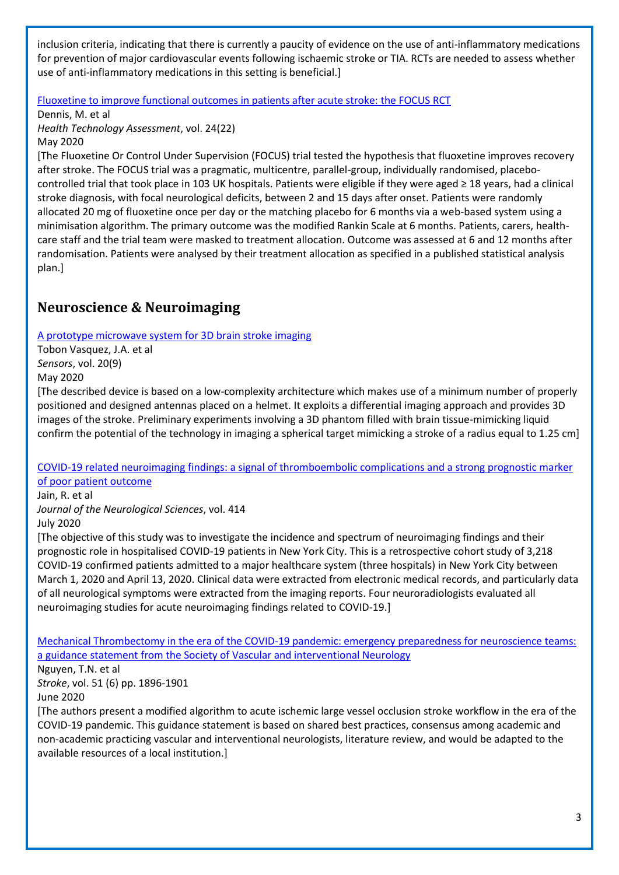inclusion criteria, indicating that there is currently a paucity of evidence on the use of anti-inflammatory medications for prevention of major cardiovascular events following ischaemic stroke or TIA. RCTs are needed to assess whether use of anti-inflammatory medications in this setting is beneficial.]

#### [Fluoxetine to improve functional outcomes in patients after acute stroke: the FOCUS RCT](https://www.research.ed.ac.uk/portal/en/publications/fluoxetine-to-improve-functional-outcomes-in-patients-after-acute-stroke-the-focus-rct(d1f20826-a90c-42e2-87ff-8fde17c168b1).html)

Dennis, M. et al

*Health Technology Assessment*, vol. 24(22)

#### May 2020

[The Fluoxetine Or Control Under Supervision (FOCUS) trial tested the hypothesis that fluoxetine improves recovery after stroke. The FOCUS trial was a pragmatic, multicentre, parallel-group, individually randomised, placebocontrolled trial that took place in 103 UK hospitals. Patients were eligible if they were aged ≥ 18 years, had a clinical stroke diagnosis, with focal neurological deficits, between 2 and 15 days after onset. Patients were randomly allocated 20 mg of fluoxetine once per day or the matching placebo for 6 months via a web-based system using a minimisation algorithm. The primary outcome was the modified Rankin Scale at 6 months. Patients, carers, healthcare staff and the trial team were masked to treatment allocation. Outcome was assessed at 6 and 12 months after randomisation. Patients were analysed by their treatment allocation as specified in a published statistical analysis plan.]

## <span id="page-2-0"></span>**Neuroscience & Neuroimaging**

[A prototype microwave system for 3D brain stroke imaging](https://www.mdpi.com/1424-8220/20/9/2607)

Tobon Vasquez, J.A. et al *Sensors*, vol. 20(9) May 2020

[The described device is based on a low-complexity architecture which makes use of a minimum number of properly positioned and designed antennas placed on a helmet. It exploits a differential imaging approach and provides 3D images of the stroke. Preliminary experiments involving a 3D phantom filled with brain tissue-mimicking liquid confirm the potential of the technology in imaging a spherical target mimicking a stroke of a radius equal to 1.25 cm]

#### [COVID-19 related neuroimaging findings: a signal of thromboembolic complications and a strong prognostic marker](https://www.jns-journal.com/article/S0022-510X(20)30260-4/pdf)  [of poor patient outcome](https://www.jns-journal.com/article/S0022-510X(20)30260-4/pdf)

Jain, R. et al

*Journal of the Neurological Sciences*, vol. 414

July 2020

[The objective of this study was to investigate the incidence and spectrum of neuroimaging findings and their prognostic role in hospitalised COVID-19 patients in New York City. This is a retrospective cohort study of 3,218 COVID-19 confirmed patients admitted to a major healthcare system (three hospitals) in New York City between March 1, 2020 and April 13, 2020. Clinical data were extracted from electronic medical records, and particularly data of all neurological symptoms were extracted from the imaging reports. Four neuroradiologists evaluated all neuroimaging studies for acute neuroimaging findings related to COVID-19.]

[Mechanical Thrombectomy in the era of the COVID-19 pandemic: emergency preparedness for neuroscience teams:](https://www.ncbi.nlm.nih.gov/pmc/articles/PMC7202095/)  [a guidance statement from the Society of Vascular and interventional Neurology](https://www.ncbi.nlm.nih.gov/pmc/articles/PMC7202095/)

#### Nguyen, T.N. et al

*Stroke*, vol. 51 (6) pp. 1896-1901

#### June 2020

[The authors present a modified algorithm to acute ischemic large vessel occlusion stroke workflow in the era of the COVID-19 pandemic. This guidance statement is based on shared best practices, consensus among academic and non-academic practicing vascular and interventional neurologists, literature review, and would be adapted to the available resources of a local institution.]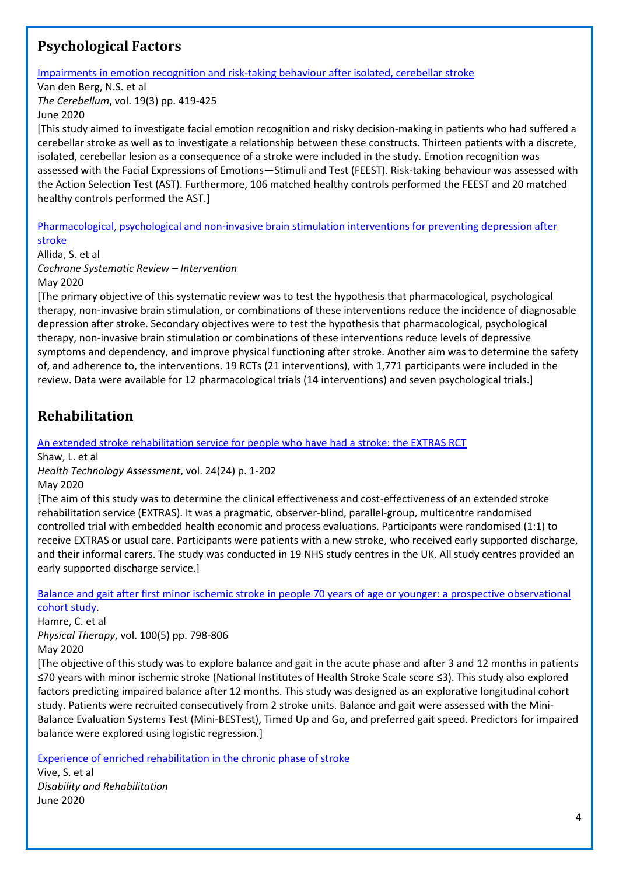## <span id="page-3-0"></span>**Psychological Factors**

[Impairments in emotion recognition and risk-taking behaviour after isolated, cerebellar stroke](https://link.springer.com/content/pdf/10.1007/s12311-020-01121-x.pdf)

Van den Berg, N.S. et al

*The Cerebellum*, vol. 19(3) pp. 419-425

June 2020

[This study aimed to investigate facial emotion recognition and risky decision-making in patients who had suffered a cerebellar stroke as well as to investigate a relationship between these constructs. Thirteen patients with a discrete, isolated, cerebellar lesion as a consequence of a stroke were included in the study. Emotion recognition was assessed with the Facial Expressions of Emotions—Stimuli and Test (FEEST). Risk-taking behaviour was assessed with the Action Selection Test (AST). Furthermore, 106 matched healthy controls performed the FEEST and 20 matched healthy controls performed the AST.]

[Pharmacological, psychological and non-invasive brain stimulation interventions for preventing depression after](https://www.cochranelibrary.com/cdsr/doi/10.1002/14651858.CD003689.pub4/full?highlightAbstract=stroke%7Cstrok)  [stroke](https://www.cochranelibrary.com/cdsr/doi/10.1002/14651858.CD003689.pub4/full?highlightAbstract=stroke%7Cstrok)

Allida, S. et al *Cochrane Systematic Review – Intervention* May 2020

[The primary objective of this systematic review was to test the hypothesis that pharmacological, psychological therapy, non‐invasive brain stimulation, or combinations of these interventions reduce the incidence of diagnosable depression after stroke. Secondary objectives were to test the hypothesis that pharmacological, psychological therapy, non‐invasive brain stimulation or combinations of these interventions reduce levels of depressive symptoms and dependency, and improve physical functioning after stroke. Another aim was to determine the safety of, and adherence to, the interventions. 19 RCTs (21 interventions), with 1,771 participants were included in the review. Data were available for 12 pharmacological trials (14 interventions) and seven psychological trials.]

## <span id="page-3-1"></span>**Rehabilitation**

[An extended stroke rehabilitation service for people who have had a stroke: the EXTRAS RCT](https://eprints.ncl.ac.uk/263887)

Shaw, L. et al

*Health Technology Assessment*, vol. 24(24) p. 1-202 May 2020

[The aim of this study was to determine the clinical effectiveness and cost-effectiveness of an extended stroke rehabilitation service (EXTRAS). It was a pragmatic, observer-blind, parallel-group, multicentre randomised controlled trial with embedded health economic and process evaluations. Participants were randomised (1:1) to receive EXTRAS or usual care. Participants were patients with a new stroke, who received early supported discharge, and their informal carers. The study was conducted in 19 NHS study centres in the UK. All study centres provided an early supported discharge service.]

[Balance and gait after first minor ischemic stroke in people 70 years of age or younger: a prospective observational](https://academic.oup.com/ptj/article/100/5/798/5707301)  [cohort study.](https://academic.oup.com/ptj/article/100/5/798/5707301)

Hamre, C. et al *Physical Therapy*, vol. 100(5) pp. 798-806 May 2020

[The objective of this study was to explore balance and gait in the acute phase and after 3 and 12 months in patients ≤70 years with minor ischemic stroke (National Institutes of Health Stroke Scale score ≤3). This study also explored factors predicting impaired balance after 12 months. This study was designed as an explorative longitudinal cohort study. Patients were recruited consecutively from 2 stroke units. Balance and gait were assessed with the Mini-Balance Evaluation Systems Test (Mini-BESTest), Timed Up and Go, and preferred gait speed. Predictors for impaired balance were explored using logistic regression.]

[Experience of enriched rehabilitation in the chronic phase of stroke](https://www.tandfonline.com/doi/pdf/10.1080/09638288.2020.1768598?needAccess=true)

Vive, S. et al *Disability and Rehabilitation* June 2020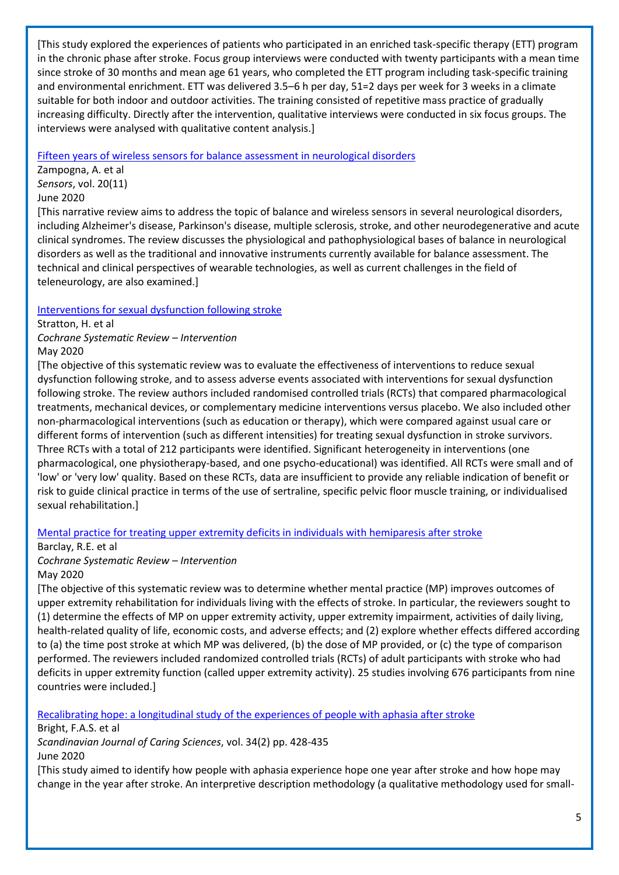[This study explored the experiences of patients who participated in an enriched task-specific therapy (ETT) program in the chronic phase after stroke. Focus group interviews were conducted with twenty participants with a mean time since stroke of 30 months and mean age 61 years, who completed the ETT program including task-specific training and environmental enrichment. ETT was delivered 3.5–6 h per day, 51=2 days per week for 3 weeks in a climate suitable for both indoor and outdoor activities. The training consisted of repetitive mass practice of gradually increasing difficulty. Directly after the intervention, qualitative interviews were conducted in six focus groups. The interviews were analysed with qualitative content analysis.]

[Fifteen years of wireless sensors for balance assessment in neurological disorders](http://europepmc.org/article/MED/32517315?singleResult=true)

Zampogna, A. et al *Sensors*, vol. 20(11) June 2020

[This narrative review aims to address the topic of balance and wireless sensors in several neurological disorders, including Alzheimer's disease, Parkinson's disease, multiple sclerosis, stroke, and other neurodegenerative and acute clinical syndromes. The review discusses the physiological and pathophysiological bases of balance in neurological disorders as well as the traditional and innovative instruments currently available for balance assessment. The technical and clinical perspectives of wearable technologies, as well as current challenges in the field of teleneurology, are also examined.]

[Interventions for sexual dysfunction following stroke](https://www.cochranelibrary.com/cdsr/doi/10.1002/14651858.CD011189.pub2/full?highlightAbstract=stroke%7Cstrok)

Stratton, H. et al

*Cochrane Systematic Review – Intervention* May 2020

[The objective of this systematic review was to evaluate the effectiveness of interventions to reduce sexual dysfunction following stroke, and to assess adverse events associated with interventions for sexual dysfunction following stroke. The review authors included randomised controlled trials (RCTs) that compared pharmacological treatments, mechanical devices, or complementary medicine interventions versus placebo. We also included other non‐pharmacological interventions (such as education or therapy), which were compared against usual care or different forms of intervention (such as different intensities) for treating sexual dysfunction in stroke survivors. Three RCTs with a total of 212 participants were identified. Significant heterogeneity in interventions (one pharmacological, one physiotherapy‐based, and one psycho‐educational) was identified. All RCTs were small and of 'low' or 'very low' quality. Based on these RCTs, data are insufficient to provide any reliable indication of benefit or risk to guide clinical practice in terms of the use of sertraline, specific pelvic floor muscle training, or individualised sexual rehabilitation.]

#### [Mental practice for treating upper extremity deficits in individuals with hemiparesis after stroke](https://www.cochranelibrary.com/cdsr/doi/10.1002/14651858.CD005950.pub5/full?highlightAbstract=stroke%7Cstrok)

Barclay, R.E. et al

*Cochrane Systematic Review – Intervention* May 2020

[The objective of this systematic review was to determine whether mental practice (MP) improves outcomes of upper extremity rehabilitation for individuals living with the effects of stroke. In particular, the reviewers sought to (1) determine the effects of MP on upper extremity activity, upper extremity impairment, activities of daily living, health-related quality of life, economic costs, and adverse effects; and (2) explore whether effects differed according to (a) the time post stroke at which MP was delivered, (b) the dose of MP provided, or (c) the type of comparison performed. The reviewers included randomized controlled trials (RCTs) of adult participants with stroke who had deficits in upper extremity function (called upper extremity activity). 25 studies involving 676 participants from nine countries were included.]

[Recalibrating hope: a longitudinal study of the experiences of people with aphasia after stroke](https://onlinelibrary.wiley.com/doi/pdfdirect/10.1111/scs.12745)

Bright, F.A.S. et al

*Scandinavian Journal of Caring Sciences*, vol. 34(2) pp. 428-435 June 2020

[This study aimed to identify how people with aphasia experience hope one year after stroke and how hope may change in the year after stroke. An interpretive description methodology (a qualitative methodology used for small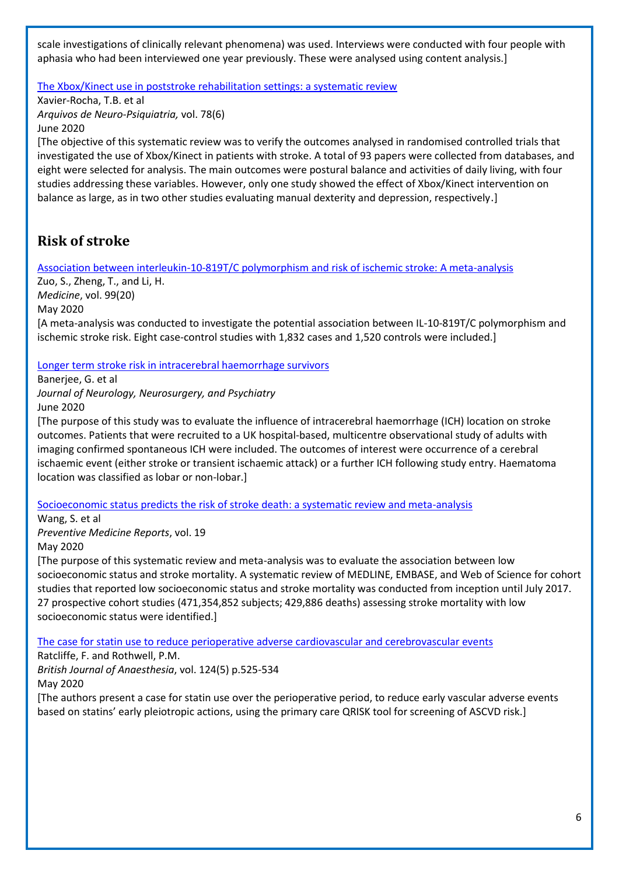scale investigations of clinically relevant phenomena) was used. Interviews were conducted with four people with aphasia who had been interviewed one year previously. These were analysed using content analysis.]

[The Xbox/Kinect use in poststroke rehabilitation settings: a systematic review](https://www.scielo.br/scielo.php?script=sci_arttext&pid=S0004-282X2020005013203&tlng=en)

Xavier-Rocha, T.B. et al *Arquivos de Neuro-Psiquiatria,* vol. 78(6) June 2020

[The objective of this systematic review was to verify the outcomes analysed in randomised controlled trials that investigated the use of Xbox/Kinect in patients with stroke. A total of 93 papers were collected from databases, and eight were selected for analysis. The main outcomes were postural balance and activities of daily living, with four studies addressing these variables. However, only one study showed the effect of Xbox/Kinect intervention on balance as large, as in two other studies evaluating manual dexterity and depression, respectively.]

## <span id="page-5-0"></span>**Risk of stroke**

[Association between interleukin-10-819T/C polymorphism and risk of ischemic stroke: A meta-analysis](http://europepmc.org/article/MED/32443287?singleResult=true)

Zuo, S., Zheng, T., and Li, H. *Medicine*, vol. 99(20) May 2020 [A meta-analysis was conducted to investigate the potential association between IL-10-819T/C polymorphism and ischemic stroke risk. Eight case-control studies with 1,832 cases and 1,520 controls were included.]

[Longer term stroke risk in intracerebral haemorrhage survivors](https://jnnp.bmj.com/content/early/2020/06/17/jnnp-2020-323079)

Banerjee, G. et al

*Journal of Neurology, Neurosurgery, and Psychiatry*

June 2020

[The purpose of this study was to evaluate the influence of intracerebral haemorrhage (ICH) location on stroke outcomes. Patients that were recruited to a UK hospital-based, multicentre observational study of adults with imaging confirmed spontaneous ICH were included. The outcomes of interest were occurrence of a cerebral ischaemic event (either stroke or transient ischaemic attack) or a further ICH following study entry. Haematoma location was classified as lobar or non-lobar.]

[Socioeconomic status predicts the risk of stroke death: a systematic review and meta-analysis](http://europepmc.org/article/MED/32509509?singleResult=true)

Wang, S. et al *Preventive Medicine Reports*, vol. 19

May 2020

[The purpose of this systematic review and meta-analysis was to evaluate the association between low socioeconomic status and stroke mortality. A systematic review of MEDLINE, EMBASE, and Web of Science for cohort studies that reported low socioeconomic status and stroke mortality was conducted from inception until July 2017. 27 prospective cohort studies (471,354,852 subjects; 429,886 deaths) assessing stroke mortality with low socioeconomic status were identified.]

[The case for statin use to reduce perioperative adverse cardiovascular and cerebrovascular events](https://bjanaesthesia.org/article/S0007-0912(20)30053-2/pdf)

Ratcliffe, F. and Rothwell, P.M.

*British Journal of Anaesthesia*, vol. 124(5) p.525-534 May 2020

[The authors present a case for statin use over the perioperative period, to reduce early vascular adverse events based on statins' early pleiotropic actions, using the primary care QRISK tool for screening of ASCVD risk.]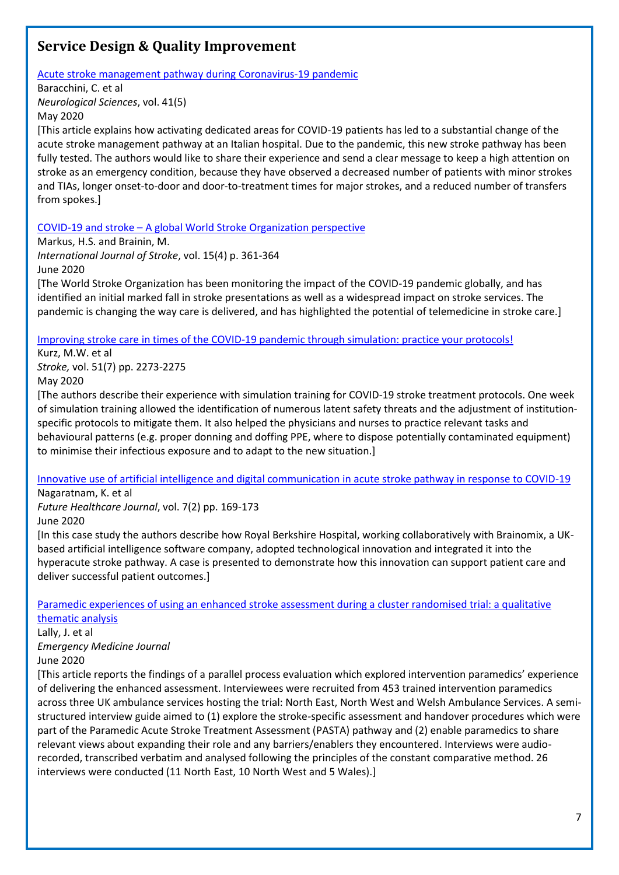## <span id="page-6-0"></span>**Service Design & Quality Improvement**

[Acute stroke management pathway during Coronavirus-19 pandemic](https://link.springer.com/content/pdf/10.1007/s10072-020-04375-9.pdf)

Baracchini, C. et al

*Neurological Sciences*, vol. 41(5) May 2020

[This article explains how activating dedicated areas for COVID-19 patients has led to a substantial change of the acute stroke management pathway at an Italian hospital. Due to the pandemic, this new stroke pathway has been fully tested. The authors would like to share their experience and send a clear message to keep a high attention on stroke as an emergency condition, because they have observed a decreased number of patients with minor strokes and TIAs, longer onset-to-door and door-to-treatment times for major strokes, and a reduced number of transfers from spokes.]

COVID-19 and stroke – A [global World Stroke Organization perspective](https://journals.sagepub.com/doi/pdf/10.1177/1747493020923472)

Markus, H.S. and Brainin, M.

*International Journal of Stroke*, vol. 15(4) p. 361-364 June 2020

[The World Stroke Organization has been monitoring the impact of the COVID-19 pandemic globally, and has identified an initial marked fall in stroke presentations as well as a widespread impact on stroke services. The pandemic is changing the way care is delivered, and has highlighted the potential of telemedicine in stroke care.]

[Improving stroke care in times of the COVID-19 pandemic through simulation: practice your protocols!](https://www.ahajournals.org/doi/epub/10.1161/STROKEAHA.120.030091)

Kurz, M.W. et al *Stroke,* vol. 51(7) pp. 2273-2275

May 2020

[The authors describe their experience with simulation training for COVID-19 stroke treatment protocols. One week of simulation training allowed the identification of numerous latent safety threats and the adjustment of institutionspecific protocols to mitigate them. It also helped the physicians and nurses to practice relevant tasks and behavioural patterns (e.g. proper donning and doffing PPE, where to dispose potentially contaminated equipment) to minimise their infectious exposure and to adapt to the new situation.]

[Innovative use of artificial intelligence and digital communication in acute stroke pathway in response to COVID-19](https://www.rcpjournals.org/content/futurehosp/early/2020/05/13/fhj.2020-0034.full.pdf) Nagaratnam, K. et al

*Future Healthcare Journal*, vol. 7(2) pp. 169-173 June 2020

[In this case study the authors describe how Royal Berkshire Hospital, working collaboratively with Brainomix, a UKbased artificial intelligence software company, adopted technological innovation and integrated it into the hyperacute stroke pathway. A case is presented to demonstrate how this innovation can support patient care and deliver successful patient outcomes.]

[Paramedic experiences of using an enhanced stroke assessment during a cluster randomised trial: a qualitative](https://emj.bmj.com/content/emermed/early/2020/06/16/emermed-2019-209392.full.pdf)  [thematic analysis](https://emj.bmj.com/content/emermed/early/2020/06/16/emermed-2019-209392.full.pdf)

Lally, J. et al *Emergency Medicine Journal* June 2020

[This article reports the findings of a parallel process evaluation which explored intervention paramedics' experience of delivering the enhanced assessment. Interviewees were recruited from 453 trained intervention paramedics across three UK ambulance services hosting the trial: North East, North West and Welsh Ambulance Services. A semistructured interview guide aimed to (1) explore the stroke-specific assessment and handover procedures which were part of the Paramedic Acute Stroke Treatment Assessment (PASTA) pathway and (2) enable paramedics to share relevant views about expanding their role and any barriers/enablers they encountered. Interviews were audiorecorded, transcribed verbatim and analysed following the principles of the constant comparative method. 26 interviews were conducted (11 North East, 10 North West and 5 Wales).]